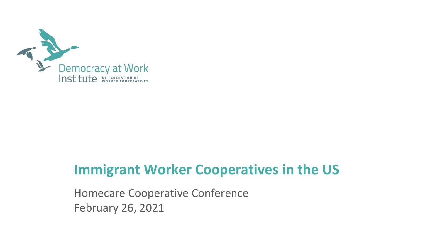

# **Immigrant Worker Cooperatives in the US**

Homecare Cooperative Conference February 26, 2021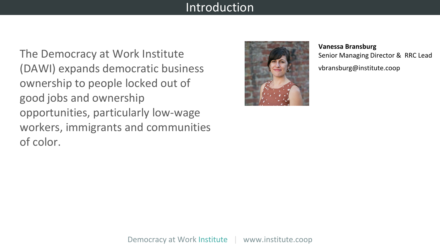#### Introduction

The Democracy at Work Institute (DAWI) expands democratic business ownership to people locked out of good jobs and ownership opportunities, particularly low-wage workers, immigrants and communities of color.



**Vanessa Bransburg** Senior Managing Director & RRC Lead vbransburg@institute.coop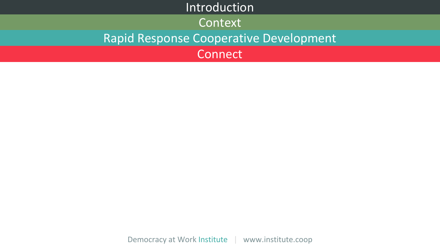# Introduction Context Rapid Response Cooperative Development **Connect**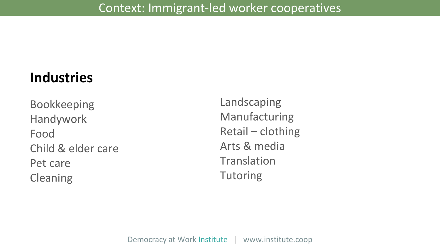# **Industries**

Bookkeeping Handywork Food Child & elder care Pet care Cleaning

Landscaping Manufacturing Retail – clothing Arts & media **Translation Tutoring**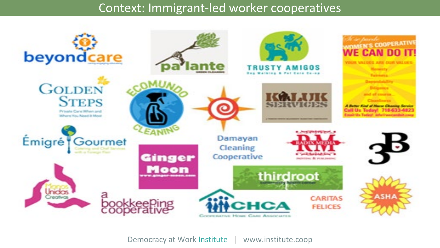#### Context: Immigrant-led worker cooperatives

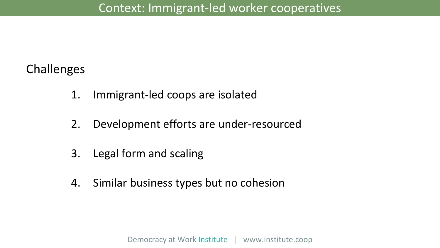## Challenges

- 1. Immigrant-led coops are isolated
- 2. Development efforts are under-resourced
- 3. Legal form and scaling
- 4. Similar business types but no cohesion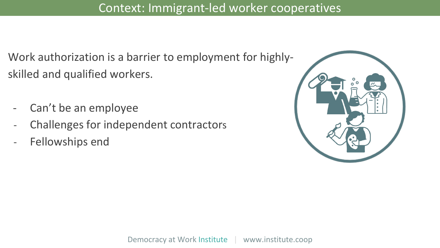Work authorization is a barrier to employment for highlyskilled and qualified workers.

- Can't be an employee
- Challenges for independent contractors
- Fellowships end

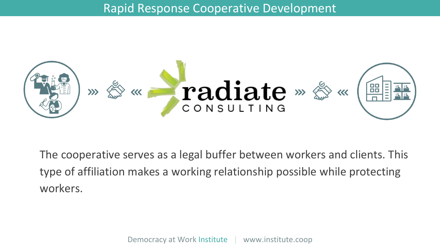

The cooperative serves as a legal buffer between workers and clients. This type of affiliation makes a working relationship possible while protecting workers.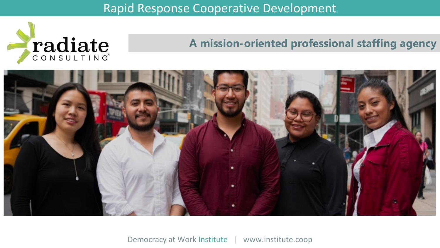

#### **A mission-oriented professional staffing agency**

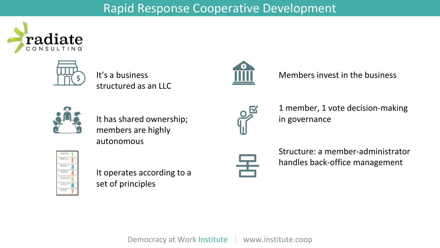



It's a business structured as an LLC



Members invest in the business



It has shared ownership; members are highly autonomous



1 member, 1 vote decision-making in governance



It operates according to a set of principles



Structure: a member-administrator handles back-office management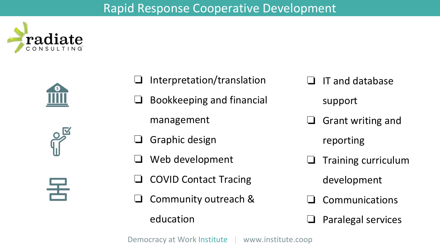







- ❏ Interpretation/translation
- ❏ Bookkeeping and financial
	- management
- ❏ Graphic design
- Web development
- ❏ COVID Contact Tracing
- ❏ Community outreach & education

❏ IT and database

support

❏ Grant writing and

reporting

❏ Training curriculum

development

- **Communications**
- ❏ Paralegal services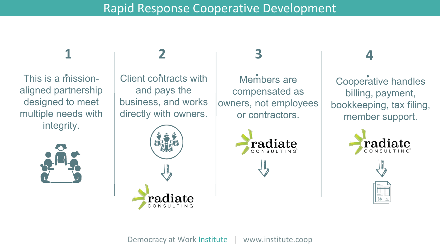# **1**

This is a missionaligned partnership designed to meet multiple needs with integrity.



# **2**

and pays the business, and works directly with owners.



#### Client contracts with **. .** This is a mission-Members are compensated as owners, not employees or contractors. **.**

**3**



# **4**

Cooperative handles billing, payment, bookkeeping, tax filing, member support.